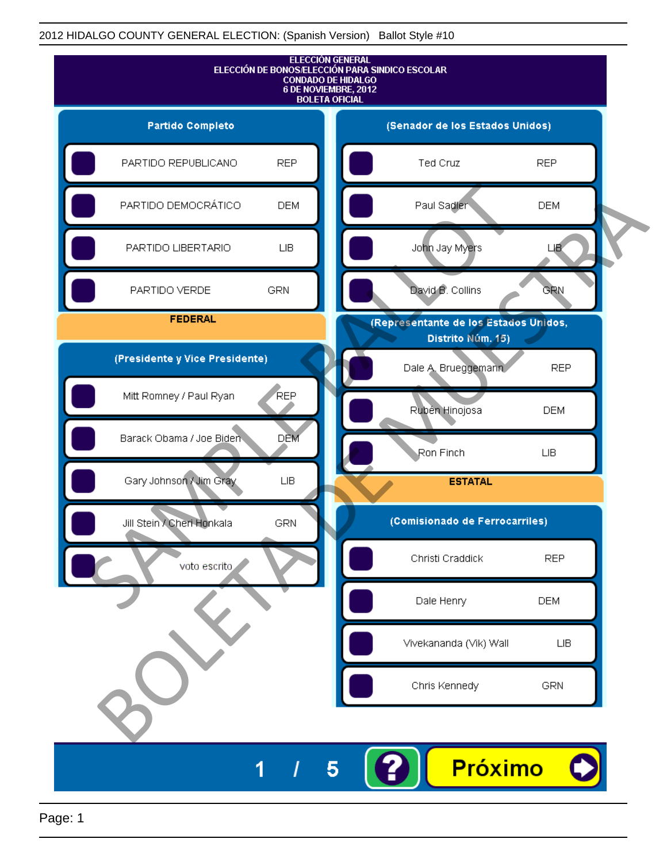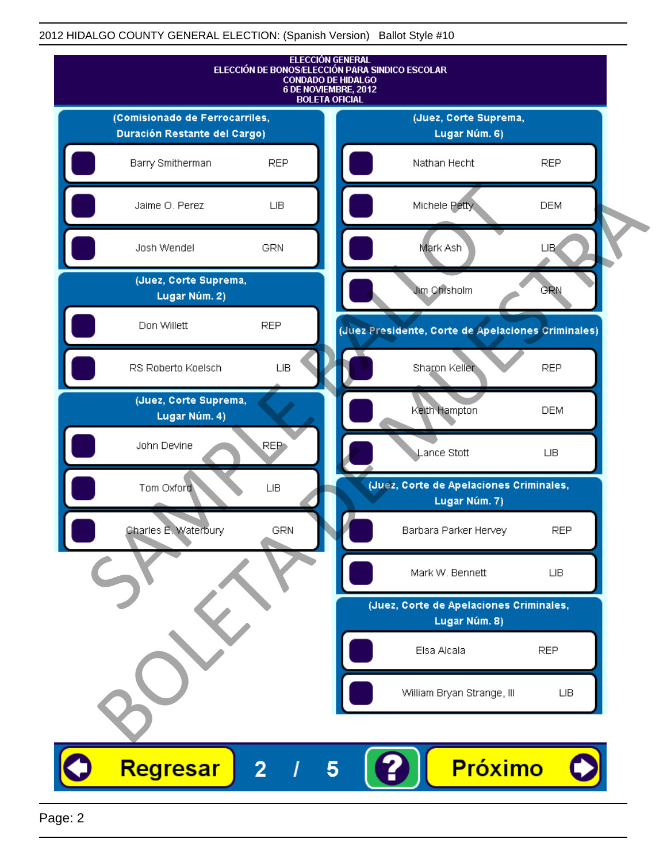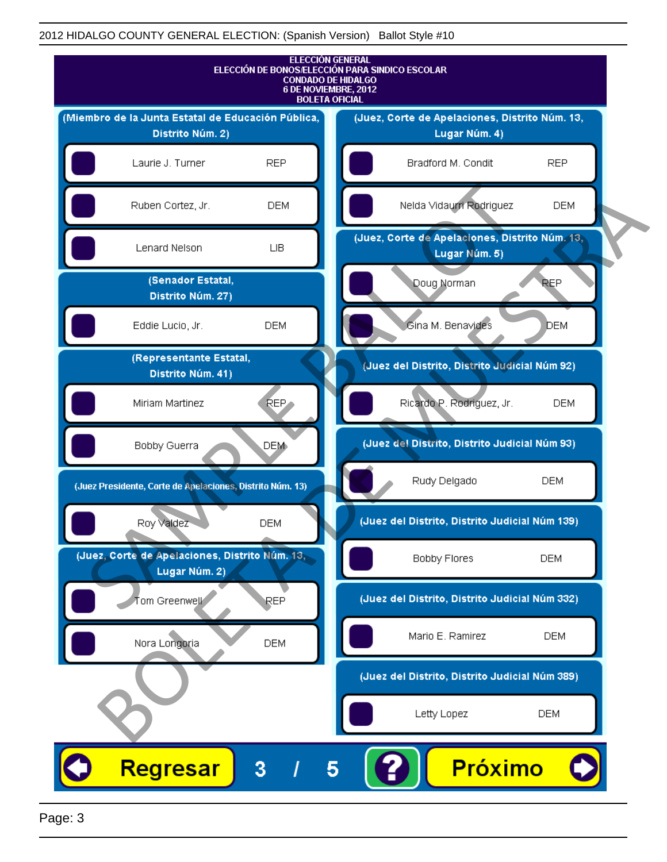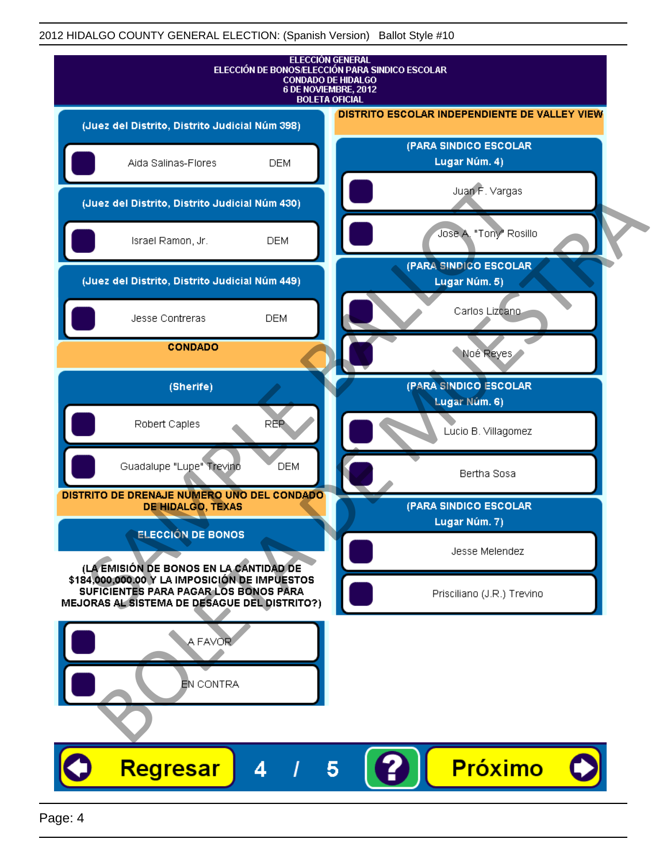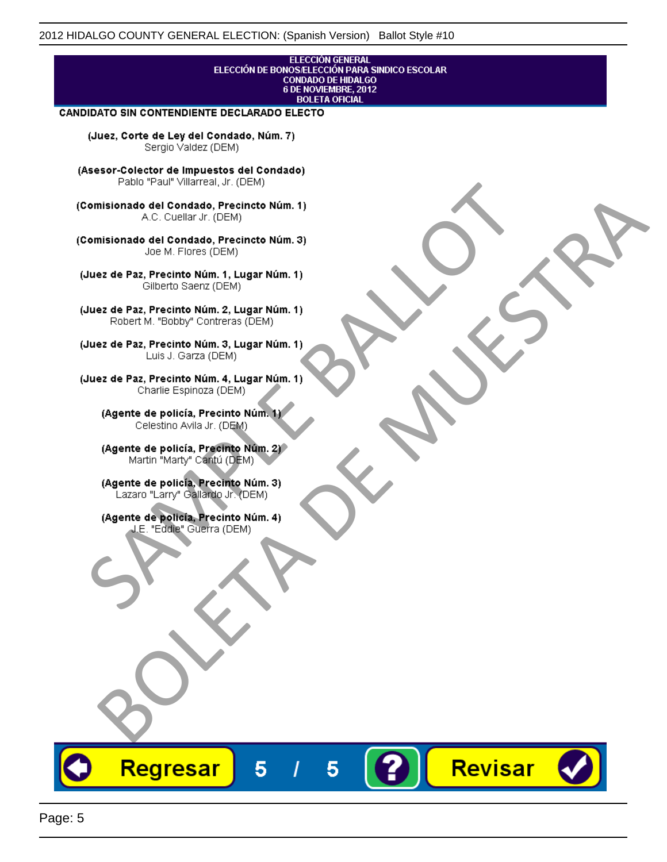## **ELECCIÓN GENERAL** ELECCIÓN DE BONOS/ELECCIÓN PARA SINDICO ESCOLAR<br>CONDADO DE HIDALGO<br>6 DE NOVIEMBRE, 2012 **BOLETA OFICIAL**

Revisar

#### CANDIDATO SIN CONTENDIENTE DECLARADO ELECTO

(Juez, Corte de Ley del Condado, Núm. 7) Sergio Valdez (DEM)

(Asesor-Colector de Impuestos del Condado)

Fallo Fall Willdrea, J.I. (DEM)<br>
Consistionado el Condado, Precincto Núm. 1)<br>
A.C. Cuellar Jr. (DEM)<br>
Ullez de Paz, Precinto Núm. 1)<br>
Juez de Paz, Precinto Núm. 1, Lugar Núm. 1)<br>
Gilberto Sentr (DEM)<br>
Robert M. "Bobby" Con misionado del Condiado, Precincto Núm. 1)<br>
Andro del Condiado, Precincto Núm. 3)<br>
ez de Paz, Precinto Núm. 21<br>
algo M. Picer Lo Saerz, (CIEM)<br>
algo M. Picer Lo Saerz, (CIEM)<br>
algo M. Picer Lo Saerz, (CIEM)<br>
ez de Paz, Prec

Regresar

5

5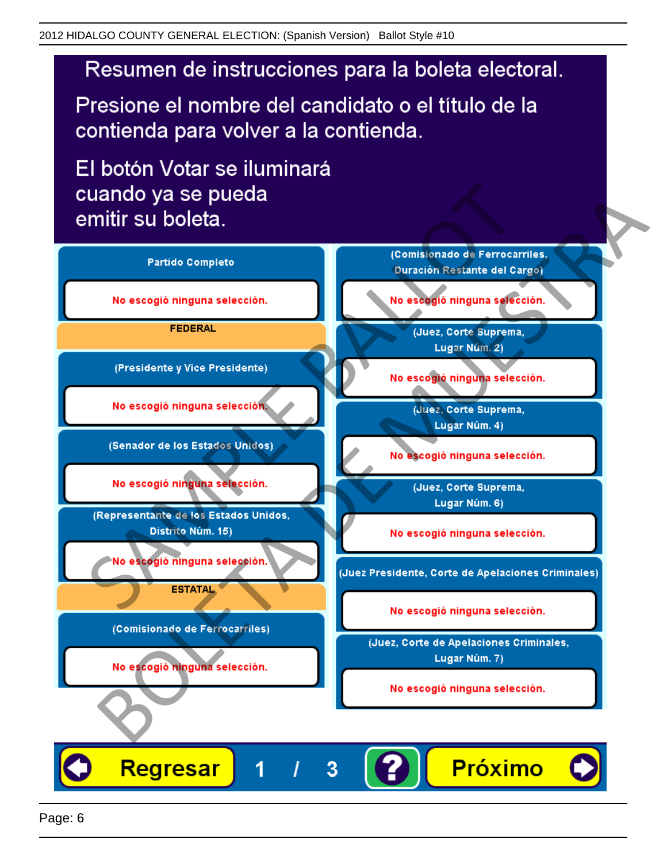# Resumen de instrucciones para la boleta electoral.

Presione el nombre del candidato o el título de la contienda para volver a la contienda.

El botón Votar se iluminará

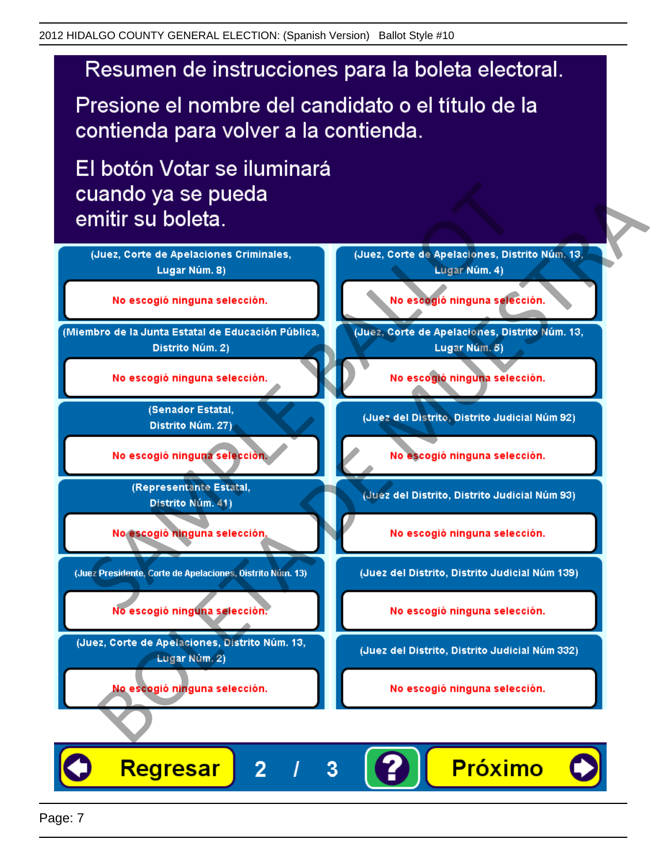# Resumen de instrucciones para la boleta electoral.

Presione el nombre del candidato o el título de la contienda para volver a la contienda.

El botón Votar se iluminará